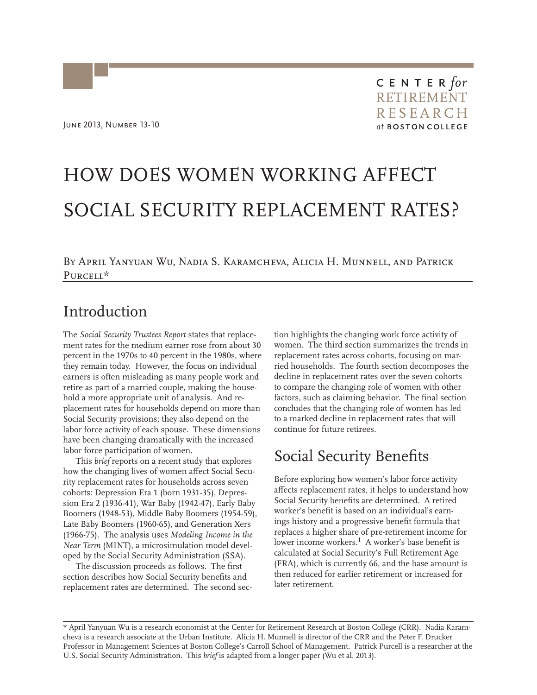# HOW DOES WOMEN WORKING AFFECT SOCIAL SECURITY REPLACEMENT RATES?

By April Yanyuan Wu, Nadia S. Karamcheva, Alicia H. Munnell, and Patrick Purcell\*

#### Introduction

The *Social Security Trustees Report* states that replacement rates for the medium earner rose from about 30 percent in the 1970s to 40 percent in the 1980s, where they remain today. However, the focus on individual earners is often misleading as many people work and retire as part of a married couple, making the household a more appropriate unit of analysis. And replacement rates for households depend on more than Social Security provisions; they also depend on the labor force activity of each spouse. These dimensions have been changing dramatically with the increased labor force participation of women.

This *brief* reports on a recent study that explores how the changing lives of women affect Social Security replacement rates for households across seven cohorts: Depression Era 1 (born 1931-35), Depression Era 2 (1936-41), War Baby (1942-47), Early Baby Boomers (1948-53), Middle Baby Boomers (1954-59), Late Baby Boomers (1960-65), and Generation Xers (1966-75). The analysis uses *Modeling Income in the Near Term* (MINT), a microsimulation model developed by the Social Security Administration (SSA).

The discussion proceeds as follows. The first section describes how Social Security benefits and replacement rates are determined. The second section highlights the changing work force activity of women. The third section summarizes the trends in replacement rates across cohorts, focusing on married households. The fourth section decomposes the decline in replacement rates over the seven cohorts to compare the changing role of women with other factors, such as claiming behavior. The final section concludes that the changing role of women has led to a marked decline in replacement rates that will continue for future retirees.

## Social Security Benefits

Before exploring how women's labor force activity affects replacement rates, it helps to understand how Social Security benefits are determined. A retired worker's benefit is based on an individual's earnings history and a progressive benefit formula that replaces a higher share of pre-retirement income for lower income workers.<sup>1</sup> A worker's base benefit is calculated at Social Security's Full Retirement Age (FRA), which is currently 66, and the base amount is then reduced for earlier retirement or increased for later retirement.

\* April Yanyuan Wu is a research economist at the Center for Retirement Research at Boston College (CRR). Nadia Karamcheva is a research associate at the Urban Institute. Alicia H. Munnell is director of the CRR and the Peter F. Drucker Professor in Management Sciences at Boston College's Carroll School of Management. Patrick Purcell is a researcher at the U.S. Social Security Administration. This *brief* is adapted from a longer paper (Wu et al. 2013).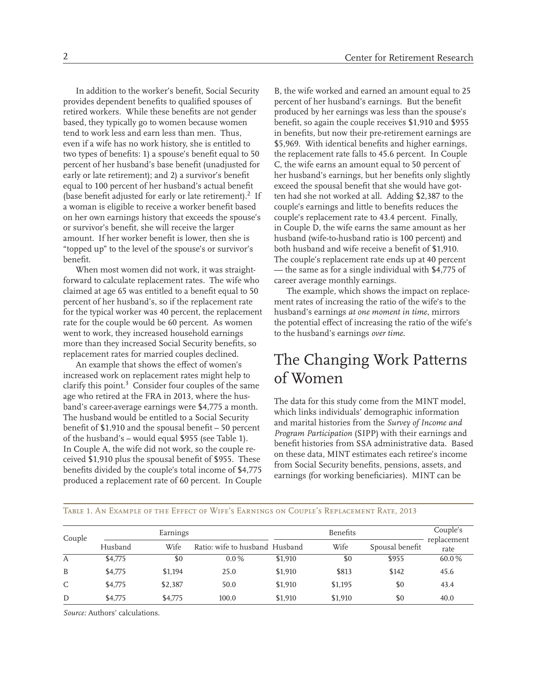In addition to the worker's benefit, Social Security provides dependent benefits to qualified spouses of retired workers. While these benefits are not gender based, they typically go to women because women tend to work less and earn less than men. Thus, even if a wife has no work history, she is entitled to two types of benefits: 1) a spouse's benefit equal to 50 percent of her husband's base benefit (unadjusted for early or late retirement); and 2) a survivor's benefit equal to 100 percent of her husband's actual benefit (base benefit adjusted for early or late retirement).<sup>2</sup> If a woman is eligible to receive a worker benefit based on her own earnings history that exceeds the spouse's or survivor's benefit, she will receive the larger amount. If her worker benefit is lower, then she is "topped up" to the level of the spouse's or survivor's benefit.

When most women did not work, it was straightforward to calculate replacement rates. The wife who claimed at age 65 was entitled to a benefit equal to 50 percent of her husband's, so if the replacement rate for the typical worker was 40 percent, the replacement rate for the couple would be 60 percent. As women went to work, they increased household earnings more than they increased Social Security benefits, so replacement rates for married couples declined.

An example that shows the effect of women's increased work on replacement rates might help to clarify this point.<sup>3</sup> Consider four couples of the same age who retired at the FRA in 2013, where the husband's career-average earnings were \$4,775 a month. The husband would be entitled to a Social Security benefit of \$1,910 and the spousal benefit – 50 percent of the husband's – would equal \$955 (see Table 1). In Couple A, the wife did not work, so the couple received \$1,910 plus the spousal benefit of \$955. These benefits divided by the couple's total income of \$4,775 produced a replacement rate of 60 percent. In Couple B, the wife worked and earned an amount equal to 25 percent of her husband's earnings. But the benefit produced by her earnings was less than the spouse's benefit, so again the couple receives \$1,910 and \$955 in benefits, but now their pre-retirement earnings are \$5,969. With identical benefits and higher earnings, the replacement rate falls to 45.6 percent. In Couple C, the wife earns an amount equal to 50 percent of her husband's earnings, but her benefits only slightly exceed the spousal benefit that she would have gotten had she not worked at all. Adding \$2,387 to the couple's earnings and little to benefits reduces the couple's replacement rate to 43.4 percent. Finally, in Couple D, the wife earns the same amount as her husband (wife-to-husband ratio is 100 percent) and both husband and wife receive a benefit of \$1,910. The couple's replacement rate ends up at 40 percent — the same as for a single individual with \$4,775 of career average monthly earnings.

The example, which shows the impact on replacement rates of increasing the ratio of the wife's to the husband's earnings *at one moment in time*, mirrors the potential effect of increasing the ratio of the wife's to the husband's earnings *over time*.

## The Changing Work Patterns of Women

The data for this study come from the MINT model, which links individuals' demographic information and marital histories from the *Survey of Income and Program Participation* (SIPP) with their earnings and benefit histories from SSA administrative data. Based on these data, MINT estimates each retiree's income from Social Security benefits, pensions, assets, and earnings (for working beneficiaries). MINT can be

| Couple | Earnings |         |                                | <b>Benefits</b> |         |                 | Couple's            |
|--------|----------|---------|--------------------------------|-----------------|---------|-----------------|---------------------|
|        | Husband  | Wife    | Ratio: wife to husband Husband |                 | Wife    | Spousal benefit | replacement<br>rate |
| А      | \$4,775  | \$0     | $0.0\%$                        | \$1,910         | \$0     | \$955           | 60.0%               |
| B      | \$4,775  | \$1,194 | 25.0                           | \$1,910         | \$813   | \$142           | 45.6                |
| C      | \$4,775  | \$2,387 | 50.0                           | \$1,910         | \$1,195 | \$0             | 43.4                |
| D      | \$4,775  | \$4,775 | 100.0                          | \$1,910         | \$1,910 | \$0             | 40.0                |

Table 1. An Example of the Effect of Wife's Earnings on Couple's Replacement Rate, 2013

*Source:* Authors' calculations.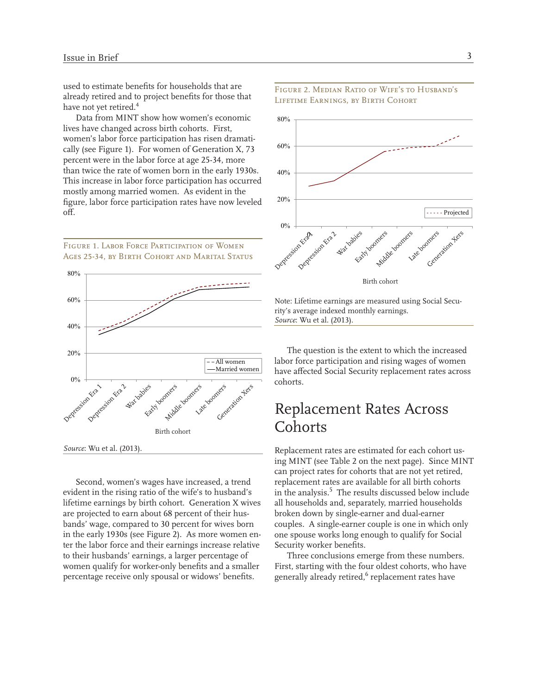used to estimate benefits for households that are already retired and to project benefits for those that have not yet retired.<sup>4</sup>

Data from MINT show how women's economic lives have changed across birth cohorts. First, women's labor force participation has risen dramatically (see Figure 1). For women of Generation X, 73 percent were in the labor force at age 25-34, more than twice the rate of women born in the early 1930s. This increase in labor force participation has occurred mostly among married women. As evident in the figure, labor force participation rates have now leveled off.

Figure 1. Labor Force Participation of Women AGES 25-34, BY BIRTH COHORT AND MARITAL STATUS



Second, women's wages have increased, a trend evident in the rising ratio of the wife's to husband's lifetime earnings by birth cohort. Generation X wives are projected to earn about 68 percent of their husbands' wage, compared to 30 percent for wives born in the early 1930s (see Figure 2). As more women enter the labor force and their earnings increase relative to their husbands' earnings, a larger percentage of women qualify for worker-only benefits and a smaller percentage receive only spousal or widows' benefits.



#### Figure 2. Median Ratio of Wife's to Husband's Lifetime Earnings, by Birth Cohort

Note: Lifetime earnings are measured using Social Security's average indexed monthly earnings. *Source*: Wu et al. (2013).

The question is the extent to which the increased labor force participation and rising wages of women have affected Social Security replacement rates across cohorts.

# Replacement Rates Across **Cohorts**

Replacement rates are estimated for each cohort using MINT (see Table 2 on the next page). Since MINT can project rates for cohorts that are not yet retired, eplacement rates are available for all birth cohorts r in the analysis.<sup>5</sup> The results discussed below include ll households and, separately, married households a broken down by single-earner and dual-earner couples. A single-earner couple is one in which only one spouse works long enough to qualify for Social Security worker benefits.

Three conclusions emerge from these numbers. First, starting with the four oldest cohorts, who have generally already retired,<sup>6</sup> replacement rates have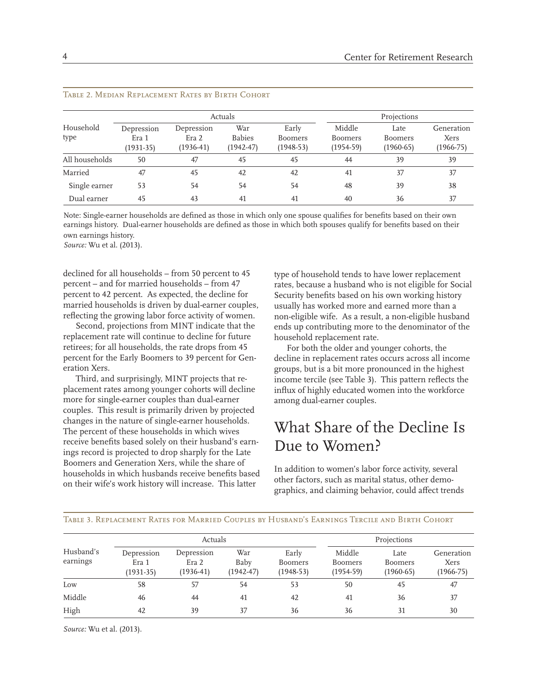|                   | Actuals                            |                                  |                                       |                                        | Projections                             |                                       |                                   |
|-------------------|------------------------------------|----------------------------------|---------------------------------------|----------------------------------------|-----------------------------------------|---------------------------------------|-----------------------------------|
| Household<br>type | Depression<br>Era 1<br>$(1931-35)$ | Depression<br>Era 2<br>(1936-41) | War<br><b>Babies</b><br>$(1942 - 47)$ | Early<br><b>Boomers</b><br>$(1948-53)$ | Middle<br><b>Boomers</b><br>$(1954-59)$ | Late<br><b>Boomers</b><br>$(1960-65)$ | Generation<br>Xers<br>$1966 - 75$ |
| All households    | 50                                 | 47                               | 45                                    | 45                                     | 44                                      | 39                                    | 39                                |
| Married           | 47                                 | 45                               | 42                                    | 42                                     | 41                                      | 37                                    | 37                                |
| Single earner     | 53                                 | 54                               | 54                                    | 54                                     | 48                                      | 39                                    | 38                                |
| Dual earner       | 45                                 | 43                               | 41                                    | 41                                     | 40                                      | 36                                    | 37                                |

#### Table 2. Median Replacement Rates by Birth Cohort

Note: Single-earner households are defined as those in which only one spouse qualifies for benefits based on their own earnings history. Dual-earner households are defined as those in which both spouses qualify for benefits based on their own earnings history.

*Source:* Wu et al. (2013).

declined for all households – from 50 percent to 45 percent – and for married households – from 47 percent to 42 percent. As expected, the decline for married households is driven by dual-earner couples, reflecting the growing labor force activity of women.

Second, projections from MINT indicate that the replacement rate will continue to decline for future retirees; for all households, the rate drops from 45 percent for the Early Boomers to 39 percent for Generation Xers.

Third, and surprisingly, MINT projects that replacement rates among younger cohorts will decline more for single-earner couples than dual-earner couples. This result is primarily driven by projected changes in the nature of single-earner households. The percent of these households in which wives receive benefits based solely on their husband's earnings record is projected to drop sharply for the Late Boomers and Generation Xers, while the share of households in which husbands receive benefits based on their wife's work history will increase. This latter

type of household tends to have lower replacement rates, because a husband who is not eligible for Social Security benefits based on his own working history usually has worked more and earned more than a on-eligible wife. As a result, a non-eligible husband n ends up contributing more to the denominator of the household replacement rate.

For both the older and younger cohorts, the decline in replacement rates occurs across all income groups, but is a bit more pronounced in the highest ncome tercile (see Table 3). This pattern reflects the i nflux of highly educated women into the workforce i among dual-earner couples.

## What Share of the Decline Is Due to Women?

In addition to women's labor force activity, several other factors, such as marital status, other demographics, and claiming behavior, could affect trends

| Table 3. Replacement Rates for Married Couples by Husband's Earnings Tercile and Birth Cohort |  |
|-----------------------------------------------------------------------------------------------|--|
|-----------------------------------------------------------------------------------------------|--|

|                       | Actuals                            |                                  |                              |                                 | Projections                             |                                       |                                     |
|-----------------------|------------------------------------|----------------------------------|------------------------------|---------------------------------|-----------------------------------------|---------------------------------------|-------------------------------------|
| Husband's<br>earnings | Depression<br>Era 1<br>$(1931-35)$ | Depression<br>Era 2<br>(1936-41) | War<br>Baby<br>$(1942 - 47)$ | Early<br>Boomers<br>$(1948-53)$ | Middle<br><b>Boomers</b><br>$(1954-59)$ | Late<br><b>Boomers</b><br>$(1960-65)$ | Generation<br>Xers<br>$(1966 - 75)$ |
| Low                   | 58                                 | 57                               | 54                           | 53                              | 50                                      | 45                                    | 47                                  |
| Middle                | 46                                 | 44                               | 41                           | 42                              | 41                                      | 36                                    | 37                                  |
| High                  | 42                                 | 39                               | 37                           | 36                              | 36                                      | 31                                    | 30                                  |

*Source:* Wu et al. (2013).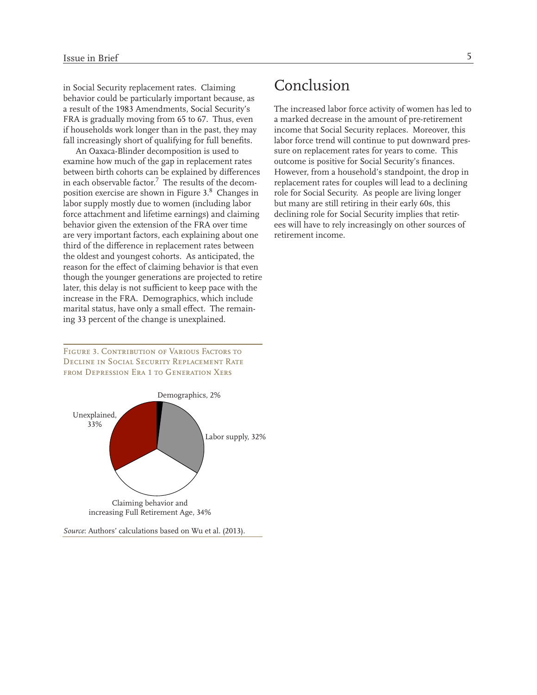in Social Security replacement rates. Claiming behavior could be particularly important because, as a result of the 1983 Amendments, Social Security's FRA is gradually moving from 65 to 67. Thus, even if households work longer than in the past, they may fall increasingly short of qualifying for full benefits.

An Oaxaca-Blinder decomposition is used to examine how much of the gap in replacement rates between birth cohorts can be explained by differences in each observable factor.<sup>7</sup> The results of the decomposition exercise are shown in Figure 3.<sup>8</sup> Changes in labor supply mostly due to women (including labor force attachment and lifetime earnings) and claiming behavior given the extension of the FRA over time are very important factors, each explaining about one third of the difference in replacement rates between the oldest and youngest cohorts. As anticipated, the reason for the effect of claiming behavior is that even though the younger generations are projected to retire later, this delay is not sufficient to keep pace with the increase in the FRA. Demographics, which include marital status, have only a small effect. The remaining 33 percent of the change is unexplained.

Figure 3. Contribution of Various Factors to Decline in Social Security Replacement Rate from Depression Era 1 to Generation Xers



### Conclusion

The increased labor force activity of women has led to a marked decrease in the amount of pre-retirement income that Social Security replaces. Moreover, this labor force trend will continue to put downward pressure on replacement rates for years to come. This outcome is positive for Social Security's finances. However, from a household's standpoint, the drop in replacement rates for couples will lead to a declining role for Social Security. As people are living longer but many are still retiring in their early 60s, this declining role for Social Security implies that retirees will have to rely increasingly on other sources of retirement income.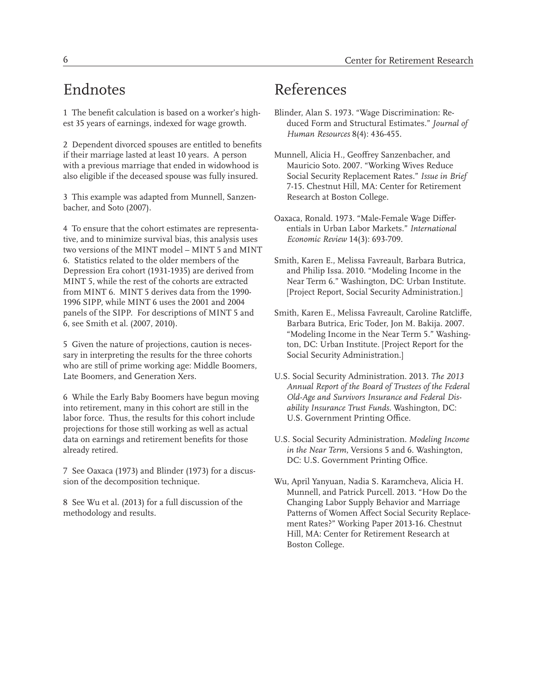## Endnotes

1 The benefit calculation is based on a worker's high est 35 years of earnings, indexed for wage growth.

2 Dependent divorced spouses are entitled to benefit s if their marriage lasted at least 10 years. A person with a previous marriage that ended in widowhood is also eligible if the deceased spouse was fully insured.

3 This example was adapted from Munnell, Sanzenbacher, and Soto (2007).

4 To ensure that the cohort estimates are representative, and to minimize survival bias, this analysis uses two versions of the MINT model – MINT 5 and MIN T 6. Statistics related to the older members of the Depression Era cohort (1931-1935) are derived from MINT 5, while the rest of the cohorts are extracted from MINT 6. MINT 5 derives data from the 1990- 1996 SIPP, while MINT 6 uses the 2001 and 2004 panels of the SIPP. For descriptions of MINT 5 and 6, see Smith et al. (2007, 2010).

5 Given the nature of projections, caution is necessary in interpreting the results for the three cohorts who are still of prime working age: Middle Boomers, Late Boomers, and Generation Xers.

6 While the Early Baby Boomers have begun moving into retirement, many in this cohort are still in the labor force. Thus, the results for this cohort include projections for those still working as well as actual data on earnings and retirement benefits for those already retired.

7 See Oaxaca (1973) and Blinder (1973) for a discussion of the decomposition technique.

8 See Wu et al. (2013) for a full discussion of the methodology and results.

# References

- Blinder, Alan S. 1973. "Wage Discrimination: Reduced Form and Structural Estimates." *Journal of Human Resources* 8(4): 436-455.
- Munnell, Alicia H., Geoffrey Sanzenbacher, and Mauricio Soto. 2007. "Working Wives Reduce Social Security Replacement Rates." *Issue in Brief*  7-15. Chestnut Hill, MA: Center for Retirement Research at Boston College.
- Oaxaca, Ronald. 1973. "Male-Female Wage Differentials in Urban Labor Markets." *International Economic Review* 14(3): 693-709.
- Smith, Karen E., Melissa Favreault, Barbara Butrica, and Philip Issa. 2010. "Modeling Income in the Near Term 6." Washington, DC: Urban Institute. [Project Report, Social Security Administration.]
- Smith, Karen E., Melissa Favreault, Caroline Ratcliffe, Barbara Butrica, Eric Toder, Jon M. Bakija. 2007. "Modeling Income in the Near Term 5." Washington, DC: Urban Institute. [Project Report for the Social Security Administration.]
- U.S. Social Security Administration. 2013. *The 2013 Annual Report of the Board of Trustees of the Federal Old-Age and Survivors Insurance and Federal Disability Insurance Trust Funds*. Washington, DC: U.S. Government Printing Office.
- U.S. Social Security Administration. *Modeling Income in the Near Term*, Versions 5 and 6. Washington, DC: U.S. Government Printing Office.
- Wu, April Yanyuan, Nadia S. Karamcheva, Alicia H. Munnell, and Patrick Purcell. 2013. "How Do the Changing Labor Supply Behavior and Marriage Patterns of Women Affect Social Security Replacement Rates?" Working Paper 2013-16. Chestnut Hill, MA: Center for Retirement Research at Boston College.